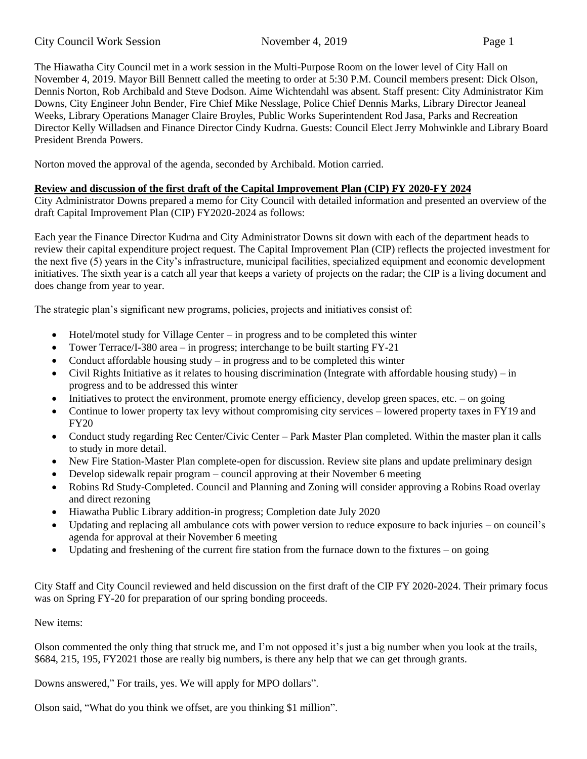# City Council Work Session November 4, 2019 Page 1

The Hiawatha City Council met in a work session in the Multi-Purpose Room on the lower level of City Hall on November 4, 2019. Mayor Bill Bennett called the meeting to order at 5:30 P.M. Council members present: Dick Olson, Dennis Norton, Rob Archibald and Steve Dodson. Aime Wichtendahl was absent. Staff present: City Administrator Kim Downs, City Engineer John Bender, Fire Chief Mike Nesslage, Police Chief Dennis Marks, Library Director Jeaneal Weeks, Library Operations Manager Claire Broyles, Public Works Superintendent Rod Jasa, Parks and Recreation Director Kelly Willadsen and Finance Director Cindy Kudrna. Guests: Council Elect Jerry Mohwinkle and Library Board President Brenda Powers.

Norton moved the approval of the agenda, seconded by Archibald. Motion carried.

## **Review and discussion of the first draft of the Capital Improvement Plan (CIP) FY 2020-FY 2024**

City Administrator Downs prepared a memo for City Council with detailed information and presented an overview of the draft Capital Improvement Plan (CIP) FY2020-2024 as follows:

Each year the Finance Director Kudrna and City Administrator Downs sit down with each of the department heads to review their capital expenditure project request. The Capital Improvement Plan (CIP) reflects the projected investment for the next five (5) years in the City's infrastructure, municipal facilities, specialized equipment and economic development initiatives. The sixth year is a catch all year that keeps a variety of projects on the radar; the CIP is a living document and does change from year to year.

The strategic plan's significant new programs, policies, projects and initiatives consist of:

- Hotel/motel study for Village Center in progress and to be completed this winter
- Tower Terrace/I-380 area in progress; interchange to be built starting FY-21
- Conduct affordable housing study in progress and to be completed this winter
- Civil Rights Initiative as it relates to housing discrimination (Integrate with affordable housing study) in progress and to be addressed this winter
- Initiatives to protect the environment, promote energy efficiency, develop green spaces, etc. on going
- Continue to lower property tax levy without compromising city services lowered property taxes in FY19 and FY20
- Conduct study regarding Rec Center/Civic Center Park Master Plan completed. Within the master plan it calls to study in more detail.
- New Fire Station-Master Plan complete-open for discussion. Review site plans and update preliminary design
- Develop sidewalk repair program council approving at their November 6 meeting
- Robins Rd Study-Completed. Council and Planning and Zoning will consider approving a Robins Road overlay and direct rezoning
- Hiawatha Public Library addition-in progress; Completion date July 2020
- Updating and replacing all ambulance cots with power version to reduce exposure to back injuries on council's agenda for approval at their November 6 meeting
- Updating and freshening of the current fire station from the furnace down to the fixtures on going

City Staff and City Council reviewed and held discussion on the first draft of the CIP FY 2020-2024. Their primary focus was on Spring FY-20 for preparation of our spring bonding proceeds.

## New items:

Olson commented the only thing that struck me, and I'm not opposed it's just a big number when you look at the trails, \$684, 215, 195, FY2021 those are really big numbers, is there any help that we can get through grants.

Downs answered," For trails, yes. We will apply for MPO dollars".

Olson said, "What do you think we offset, are you thinking \$1 million".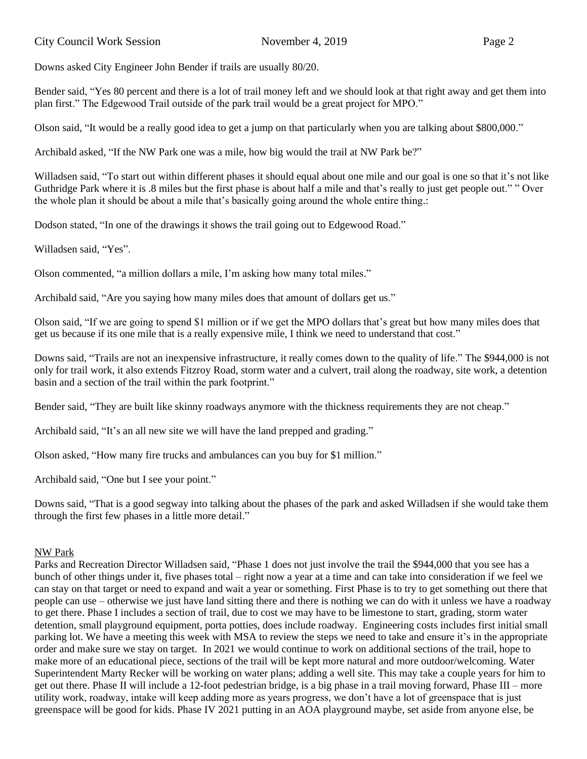Downs asked City Engineer John Bender if trails are usually 80/20.

Bender said, "Yes 80 percent and there is a lot of trail money left and we should look at that right away and get them into plan first." The Edgewood Trail outside of the park trail would be a great project for MPO."

Olson said, "It would be a really good idea to get a jump on that particularly when you are talking about \$800,000."

Archibald asked, "If the NW Park one was a mile, how big would the trail at NW Park be?"

Willadsen said, "To start out within different phases it should equal about one mile and our goal is one so that it's not like Guthridge Park where it is .8 miles but the first phase is about half a mile and that's really to just get people out." " Over the whole plan it should be about a mile that's basically going around the whole entire thing.:

Dodson stated, "In one of the drawings it shows the trail going out to Edgewood Road."

Willadsen said, "Yes".

Olson commented, "a million dollars a mile, I'm asking how many total miles."

Archibald said, "Are you saying how many miles does that amount of dollars get us."

Olson said, "If we are going to spend \$1 million or if we get the MPO dollars that's great but how many miles does that get us because if its one mile that is a really expensive mile, I think we need to understand that cost."

Downs said, "Trails are not an inexpensive infrastructure, it really comes down to the quality of life." The \$944,000 is not only for trail work, it also extends Fitzroy Road, storm water and a culvert, trail along the roadway, site work, a detention basin and a section of the trail within the park footprint."

Bender said, "They are built like skinny roadways anymore with the thickness requirements they are not cheap."

Archibald said, "It's an all new site we will have the land prepped and grading."

Olson asked, "How many fire trucks and ambulances can you buy for \$1 million."

Archibald said, "One but I see your point."

Downs said, "That is a good segway into talking about the phases of the park and asked Willadsen if she would take them through the first few phases in a little more detail."

### NW Park

Parks and Recreation Director Willadsen said, "Phase 1 does not just involve the trail the \$944,000 that you see has a bunch of other things under it, five phases total – right now a year at a time and can take into consideration if we feel we can stay on that target or need to expand and wait a year or something. First Phase is to try to get something out there that people can use – otherwise we just have land sitting there and there is nothing we can do with it unless we have a roadway to get there. Phase I includes a section of trail, due to cost we may have to be limestone to start, grading, storm water detention, small playground equipment, porta potties, does include roadway. Engineering costs includes first initial small parking lot. We have a meeting this week with MSA to review the steps we need to take and ensure it's in the appropriate order and make sure we stay on target. In 2021 we would continue to work on additional sections of the trail, hope to make more of an educational piece, sections of the trail will be kept more natural and more outdoor/welcoming. Water Superintendent Marty Recker will be working on water plans; adding a well site. This may take a couple years for him to get out there. Phase II will include a 12-foot pedestrian bridge, is a big phase in a trail moving forward, Phase III – more utility work, roadway, intake will keep adding more as years progress, we don't have a lot of greenspace that is just greenspace will be good for kids. Phase IV 2021 putting in an AOA playground maybe, set aside from anyone else, be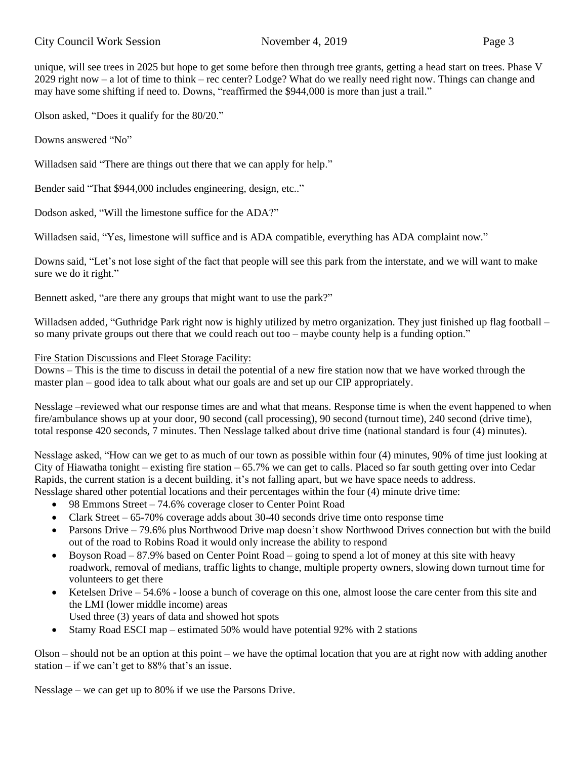unique, will see trees in 2025 but hope to get some before then through tree grants, getting a head start on trees. Phase V 2029 right now – a lot of time to think – rec center? Lodge? What do we really need right now. Things can change and may have some shifting if need to. Downs, "reaffirmed the \$944,000 is more than just a trail."

Olson asked, "Does it qualify for the 80/20."

Downs answered "No"

Willadsen said "There are things out there that we can apply for help."

Bender said "That \$944,000 includes engineering, design, etc.."

Dodson asked, "Will the limestone suffice for the ADA?"

Willadsen said, "Yes, limestone will suffice and is ADA compatible, everything has ADA complaint now."

Downs said, "Let's not lose sight of the fact that people will see this park from the interstate, and we will want to make sure we do it right."

Bennett asked, "are there any groups that might want to use the park?"

Willadsen added, "Guthridge Park right now is highly utilized by metro organization. They just finished up flag football – so many private groups out there that we could reach out too – maybe county help is a funding option."

### Fire Station Discussions and Fleet Storage Facility:

Downs – This is the time to discuss in detail the potential of a new fire station now that we have worked through the master plan – good idea to talk about what our goals are and set up our CIP appropriately.

Nesslage –reviewed what our response times are and what that means. Response time is when the event happened to when fire/ambulance shows up at your door, 90 second (call processing), 90 second (turnout time), 240 second (drive time), total response 420 seconds, 7 minutes. Then Nesslage talked about drive time (national standard is four (4) minutes).

Nesslage asked, "How can we get to as much of our town as possible within four (4) minutes, 90% of time just looking at City of Hiawatha tonight – existing fire station –  $65.7\%$  we can get to calls. Placed so far south getting over into Cedar Rapids, the current station is a decent building, it's not falling apart, but we have space needs to address.

Nesslage shared other potential locations and their percentages within the four (4) minute drive time:

- 98 Emmons Street 74.6% coverage closer to Center Point Road
- Clark Street  $-65-70\%$  coverage adds about 30-40 seconds drive time onto response time
- Parsons Drive 79.6% plus Northwood Drive map doesn't show Northwood Drives connection but with the build out of the road to Robins Road it would only increase the ability to respond
- Boyson Road 87.9% based on Center Point Road going to spend a lot of money at this site with heavy roadwork, removal of medians, traffic lights to change, multiple property owners, slowing down turnout time for volunteers to get there
- Ketelsen Drive 54.6% loose a bunch of coverage on this one, almost loose the care center from this site and the LMI (lower middle income) areas
- Used three (3) years of data and showed hot spots
- Stamy Road ESCI map estimated 50% would have potential 92% with 2 stations

Olson – should not be an option at this point – we have the optimal location that you are at right now with adding another station – if we can't get to  $88\%$  that's an issue.

Nesslage – we can get up to 80% if we use the Parsons Drive.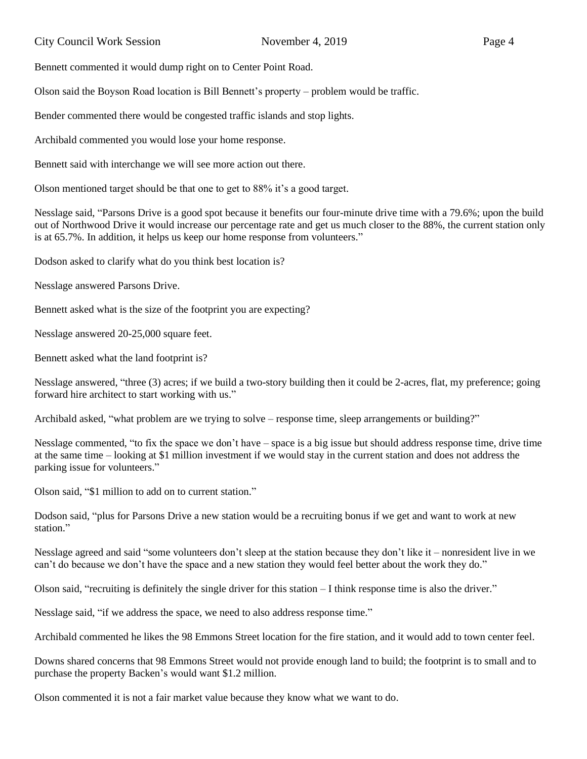Bennett commented it would dump right on to Center Point Road.

Olson said the Boyson Road location is Bill Bennett's property – problem would be traffic.

Bender commented there would be congested traffic islands and stop lights.

Archibald commented you would lose your home response.

Bennett said with interchange we will see more action out there.

Olson mentioned target should be that one to get to 88% it's a good target.

Nesslage said, "Parsons Drive is a good spot because it benefits our four-minute drive time with a 79.6%; upon the build out of Northwood Drive it would increase our percentage rate and get us much closer to the 88%, the current station only is at 65.7%. In addition, it helps us keep our home response from volunteers."

Dodson asked to clarify what do you think best location is?

Nesslage answered Parsons Drive.

Bennett asked what is the size of the footprint you are expecting?

Nesslage answered 20-25,000 square feet.

Bennett asked what the land footprint is?

Nesslage answered, "three (3) acres; if we build a two-story building then it could be 2-acres, flat, my preference; going forward hire architect to start working with us."

Archibald asked, "what problem are we trying to solve – response time, sleep arrangements or building?"

Nesslage commented, "to fix the space we don't have – space is a big issue but should address response time, drive time at the same time – looking at \$1 million investment if we would stay in the current station and does not address the parking issue for volunteers."

Olson said, "\$1 million to add on to current station."

Dodson said, "plus for Parsons Drive a new station would be a recruiting bonus if we get and want to work at new station"

Nesslage agreed and said "some volunteers don't sleep at the station because they don't like it – nonresident live in we can't do because we don't have the space and a new station they would feel better about the work they do."

Olson said, "recruiting is definitely the single driver for this station  $-I$  think response time is also the driver."

Nesslage said, "if we address the space, we need to also address response time."

Archibald commented he likes the 98 Emmons Street location for the fire station, and it would add to town center feel.

Downs shared concerns that 98 Emmons Street would not provide enough land to build; the footprint is to small and to purchase the property Backen's would want \$1.2 million.

Olson commented it is not a fair market value because they know what we want to do.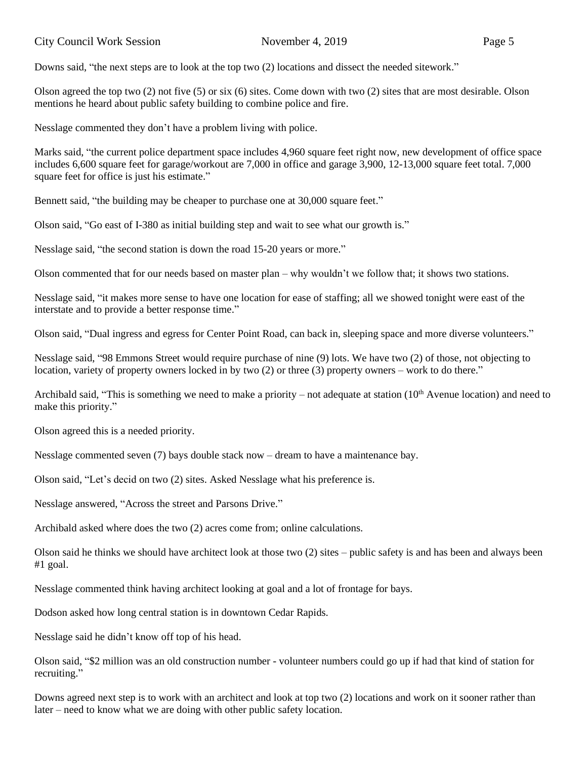Olson agreed the top two  $(2)$  not five  $(5)$  or six  $(6)$  sites. Come down with two  $(2)$  sites that are most desirable. Olson mentions he heard about public safety building to combine police and fire.

Nesslage commented they don't have a problem living with police.

Marks said, "the current police department space includes 4,960 square feet right now, new development of office space includes 6,600 square feet for garage/workout are 7,000 in office and garage 3,900, 12-13,000 square feet total. 7,000 square feet for office is just his estimate."

Bennett said, "the building may be cheaper to purchase one at 30,000 square feet."

Olson said, "Go east of I-380 as initial building step and wait to see what our growth is."

Nesslage said, "the second station is down the road 15-20 years or more."

Olson commented that for our needs based on master plan – why wouldn't we follow that; it shows two stations.

Nesslage said, "it makes more sense to have one location for ease of staffing; all we showed tonight were east of the interstate and to provide a better response time."

Olson said, "Dual ingress and egress for Center Point Road, can back in, sleeping space and more diverse volunteers."

Nesslage said, "98 Emmons Street would require purchase of nine (9) lots. We have two (2) of those, not objecting to location, variety of property owners locked in by two (2) or three (3) property owners – work to do there."

Archibald said, "This is something we need to make a priority – not adequate at station  $(10<sup>th</sup>$  Avenue location) and need to make this priority."

Olson agreed this is a needed priority.

Nesslage commented seven (7) bays double stack now – dream to have a maintenance bay.

Olson said, "Let's decid on two (2) sites. Asked Nesslage what his preference is.

Nesslage answered, "Across the street and Parsons Drive."

Archibald asked where does the two (2) acres come from; online calculations.

Olson said he thinks we should have architect look at those two (2) sites – public safety is and has been and always been #1 goal.

Nesslage commented think having architect looking at goal and a lot of frontage for bays.

Dodson asked how long central station is in downtown Cedar Rapids.

Nesslage said he didn't know off top of his head.

Olson said, "\$2 million was an old construction number - volunteer numbers could go up if had that kind of station for recruiting."

Downs agreed next step is to work with an architect and look at top two (2) locations and work on it sooner rather than later – need to know what we are doing with other public safety location.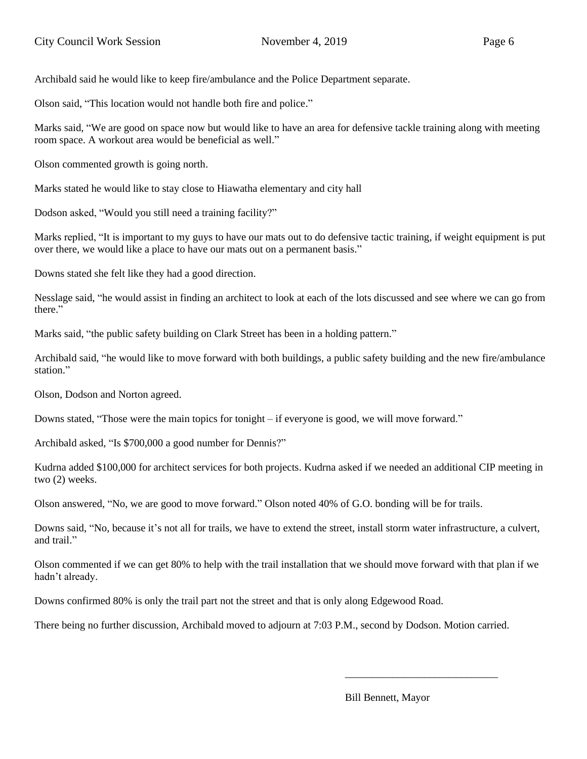Archibald said he would like to keep fire/ambulance and the Police Department separate.

Olson said, "This location would not handle both fire and police."

Marks said, "We are good on space now but would like to have an area for defensive tackle training along with meeting room space. A workout area would be beneficial as well."

Olson commented growth is going north.

Marks stated he would like to stay close to Hiawatha elementary and city hall

Dodson asked, "Would you still need a training facility?"

Marks replied, "It is important to my guys to have our mats out to do defensive tactic training, if weight equipment is put over there, we would like a place to have our mats out on a permanent basis."

Downs stated she felt like they had a good direction.

Nesslage said, "he would assist in finding an architect to look at each of the lots discussed and see where we can go from there."

Marks said, "the public safety building on Clark Street has been in a holding pattern."

Archibald said, "he would like to move forward with both buildings, a public safety building and the new fire/ambulance station."

Olson, Dodson and Norton agreed.

Downs stated, "Those were the main topics for tonight – if everyone is good, we will move forward."

Archibald asked, "Is \$700,000 a good number for Dennis?"

Kudrna added \$100,000 for architect services for both projects. Kudrna asked if we needed an additional CIP meeting in two (2) weeks.

Olson answered, "No, we are good to move forward." Olson noted 40% of G.O. bonding will be for trails.

Downs said, "No, because it's not all for trails, we have to extend the street, install storm water infrastructure, a culvert, and trail."

Olson commented if we can get 80% to help with the trail installation that we should move forward with that plan if we hadn't already.

Downs confirmed 80% is only the trail part not the street and that is only along Edgewood Road.

There being no further discussion, Archibald moved to adjourn at 7:03 P.M., second by Dodson. Motion carried.

Bill Bennett, Mayor

\_\_\_\_\_\_\_\_\_\_\_\_\_\_\_\_\_\_\_\_\_\_\_\_\_\_\_\_\_